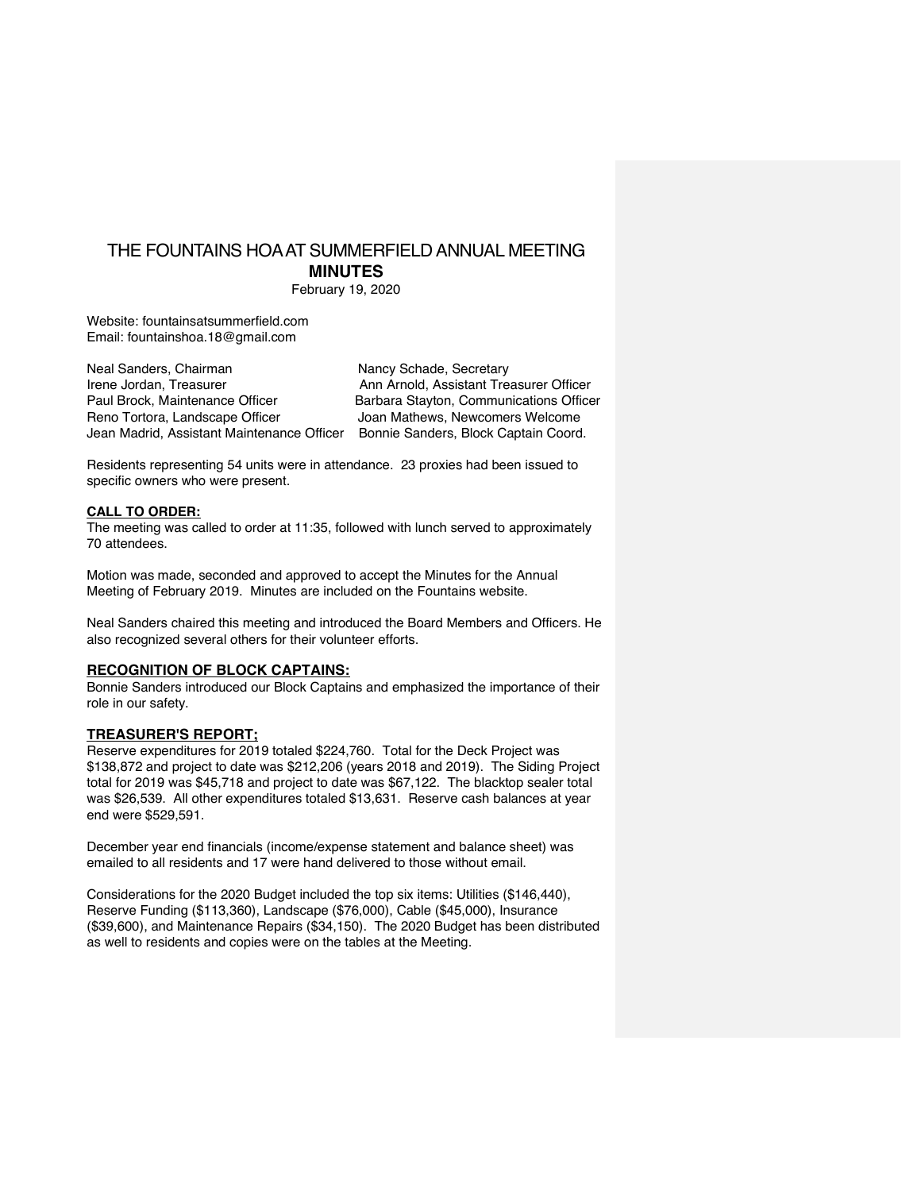# THE FOUNTAINS HOA AT SUMMERFIELD ANNUAL MEETING **MINUTES**

February 19, 2020

Website: fountainsatsummerfield.com Email: fountainshoa.18@gmail.com

Neal Sanders, Chairman Nancy Schade, Secretary Irene Jordan, Treasurer Ann Arnold, Assistant Treasurer Officer Paul Brock, Maintenance Officer Barbara Stayton, Communications Officer Reno Tortora, Landscape Officer **Joan Mathews, Newcomers Welcome** Jean Madrid, Assistant Maintenance Officer Bonnie Sanders, Block Captain Coord.

Residents representing 54 units were in attendance. 23 proxies had been issued to specific owners who were present.

#### **CALL TO ORDER:**

The meeting was called to order at 11:35, followed with lunch served to approximately 70 attendees.

Motion was made, seconded and approved to accept the Minutes for the Annual Meeting of February 2019. Minutes are included on the Fountains website.

Neal Sanders chaired this meeting and introduced the Board Members and Officers. He also recognized several others for their volunteer efforts.

## **RECOGNITION OF BLOCK CAPTAINS:**

Bonnie Sanders introduced our Block Captains and emphasized the importance of their role in our safety.

## **TREASURER'S REPORT;**

Reserve expenditures for 2019 totaled \$224,760. Total for the Deck Project was \$138,872 and project to date was \$212,206 (years 2018 and 2019). The Siding Project total for 2019 was \$45,718 and project to date was \$67,122. The blacktop sealer total was \$26,539. All other expenditures totaled \$13,631. Reserve cash balances at year end were \$529,591.

December year end financials (income/expense statement and balance sheet) was emailed to all residents and 17 were hand delivered to those without email.

Considerations for the 2020 Budget included the top six items: Utilities (\$146,440), Reserve Funding (\$113,360), Landscape (\$76,000), Cable (\$45,000), Insurance (\$39,600), and Maintenance Repairs (\$34,150). The 2020 Budget has been distributed as well to residents and copies were on the tables at the Meeting.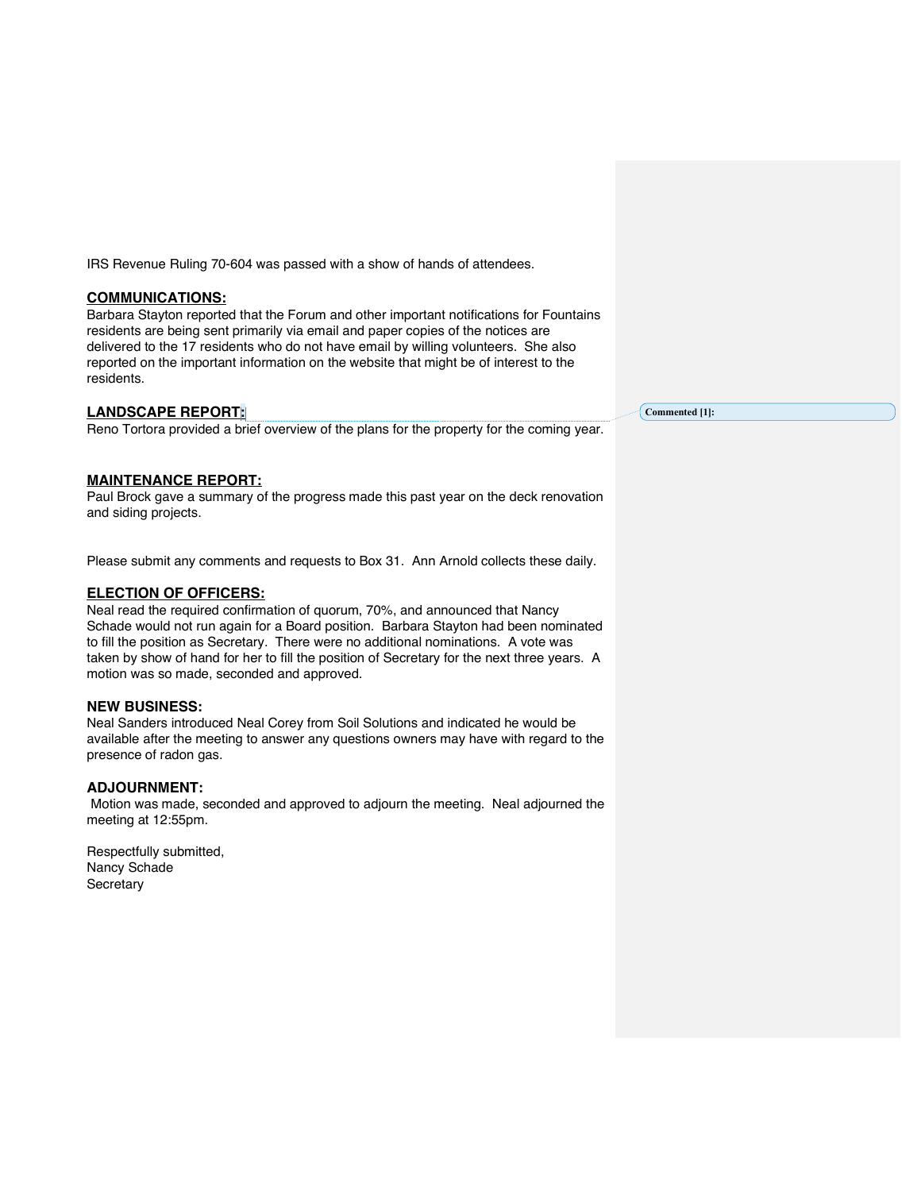IRS Revenue Ruling 70-604 was passed with a show of hands of attendees.

## **COMMUNICATIONS:**

Barbara Stayton reported that the Forum and other important notifications for Fountains residents are being sent primarily via email and paper copies of the notices are delivered to the 17 residents who do not have email by willing volunteers. She also reported on the important information on the website that might be of interest to the residents.

## **LANDSCAPE REPORT:**

Reno Tortora provided a brief overview of the plans for the property for the coming year.

## **MAINTENANCE REPORT:**

Paul Brock gave a summary of the progress made this past year on the deck renovation and siding projects.

Please submit any comments and requests to Box 31. Ann Arnold collects these daily.

#### **ELECTION OF OFFICERS:**

Neal read the required confirmation of quorum, 70%, and announced that Nancy Schade would not run again for a Board position. Barbara Stayton had been nominated to fill the position as Secretary. There were no additional nominations. A vote was taken by show of hand for her to fill the position of Secretary for the next three years. A motion was so made, seconded and approved.

## **NEW BUSINESS:**

Neal Sanders introduced Neal Corey from Soil Solutions and indicated he would be available after the meeting to answer any questions owners may have with regard to the presence of radon gas.

## **ADJOURNMENT:**

Motion was made, seconded and approved to adjourn the meeting. Neal adjourned the meeting at 12:55pm.

Respectfully submitted, Nancy Schade **Secretary** 

**Commented [1]:**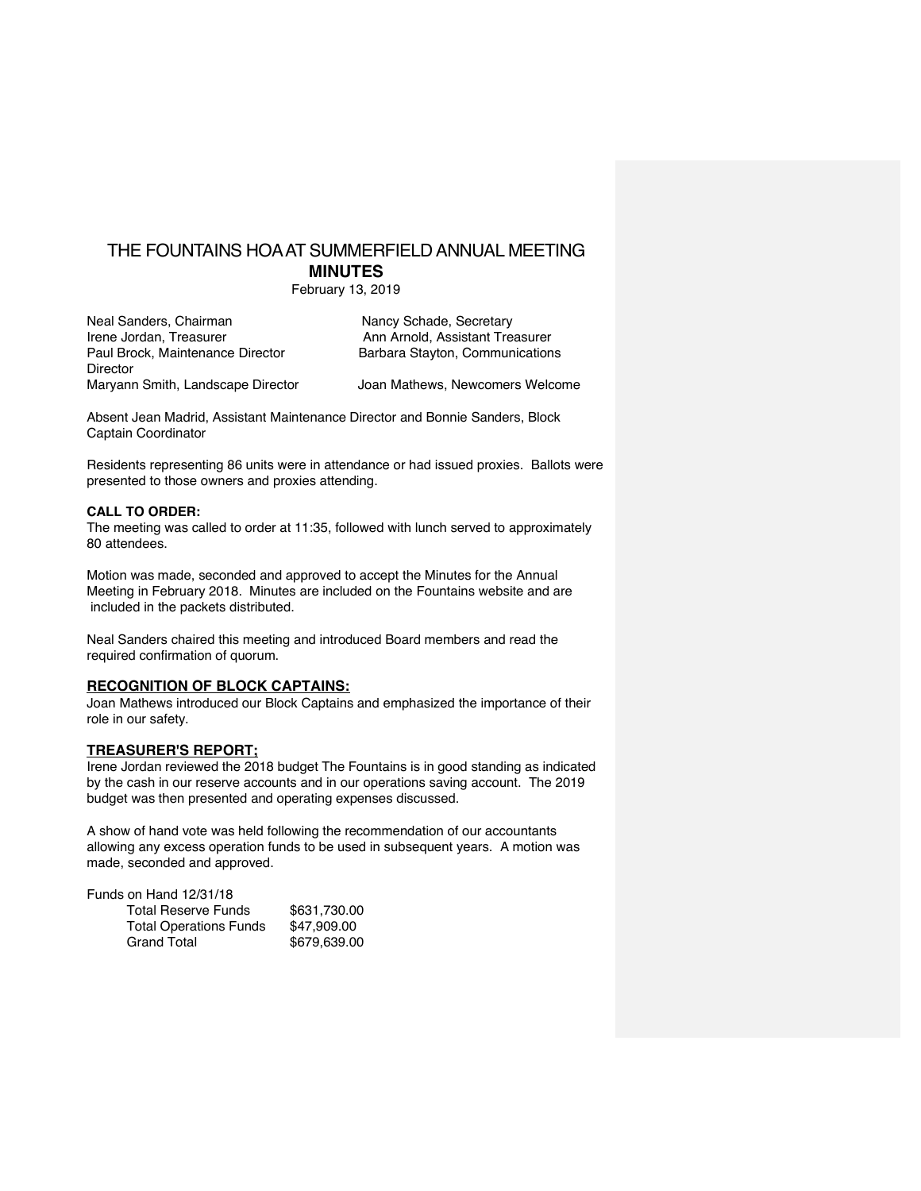# THE FOUNTAINS HOA AT SUMMERFIELD ANNUAL MEETING **MINUTES**

February 13, 2019

| Neal Sanders, Chairman            | Nancy Schade, Secretary         |
|-----------------------------------|---------------------------------|
| Irene Jordan, Treasurer           | Ann Arnold, Assistant Treasurer |
| Paul Brock, Maintenance Director  | Barbara Stayton, Communications |
| Director                          |                                 |
| Maryann Smith, Landscape Director | Joan Mathews, Newcomers Welcome |

Absent Jean Madrid, Assistant Maintenance Director and Bonnie Sanders, Block Captain Coordinator

Residents representing 86 units were in attendance or had issued proxies. Ballots were presented to those owners and proxies attending.

#### **CALL TO ORDER:**

The meeting was called to order at 11:35, followed with lunch served to approximately 80 attendees.

Motion was made, seconded and approved to accept the Minutes for the Annual Meeting in February 2018. Minutes are included on the Fountains website and are included in the packets distributed.

Neal Sanders chaired this meeting and introduced Board members and read the required confirmation of quorum.

## **RECOGNITION OF BLOCK CAPTAINS:**

Joan Mathews introduced our Block Captains and emphasized the importance of their role in our safety.

## **TREASURER'S REPORT;**

Irene Jordan reviewed the 2018 budget The Fountains is in good standing as indicated by the cash in our reserve accounts and in our operations saving account. The 2019 budget was then presented and operating expenses discussed.

A show of hand vote was held following the recommendation of our accountants allowing any excess operation funds to be used in subsequent years. A motion was made, seconded and approved.

| Funds on Hand 12/31/18        |              |
|-------------------------------|--------------|
| <b>Total Reserve Funds</b>    | \$631.730.00 |
| <b>Total Operations Funds</b> | \$47.909.00  |
| <b>Grand Total</b>            | \$679,639.00 |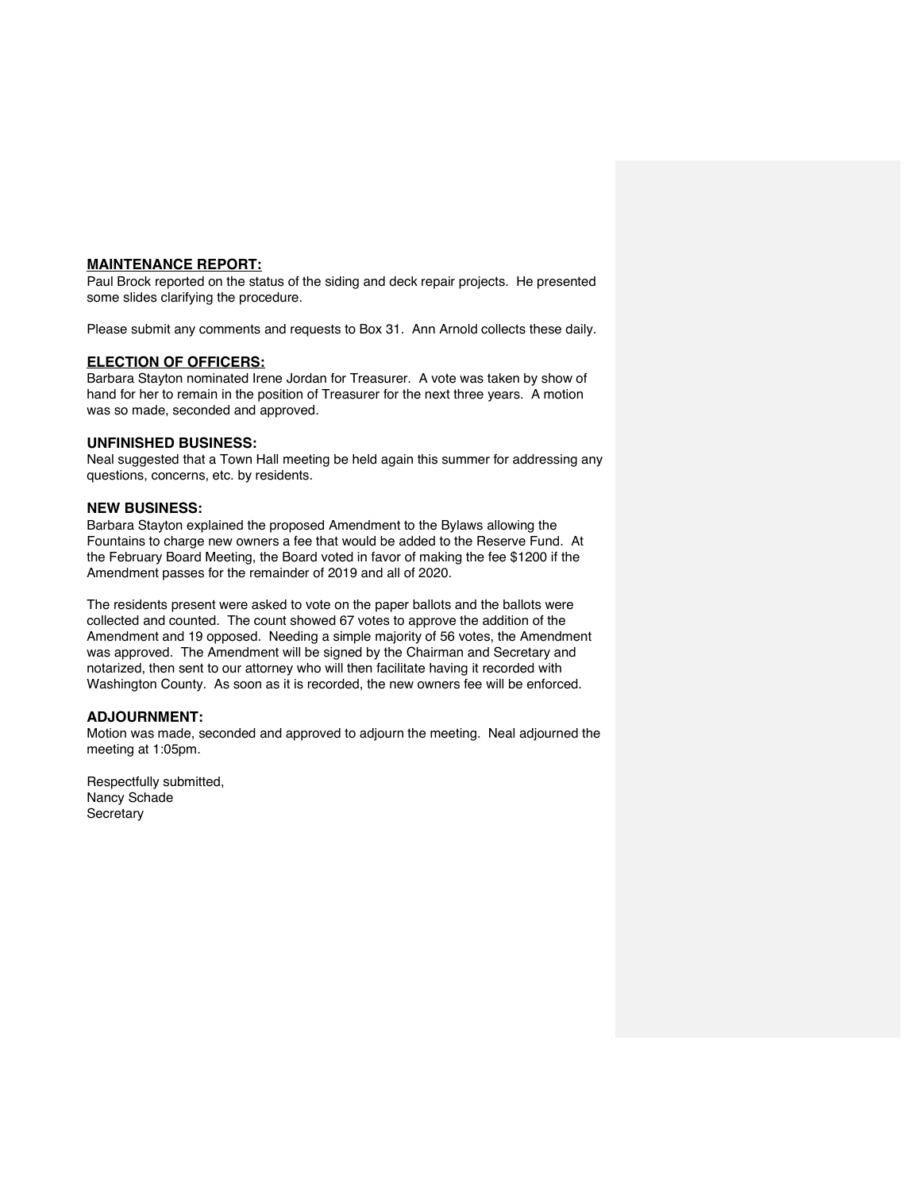## **MAINTENANCE REPORT:**

Paul Brock reported on the status of the siding and deck repair projects. He presented some slides clarifying the procedure.

Please submit any comments and requests to Box 31. Ann Arnold collects these daily.

#### **ELECTION OF OFFICERS:**

Barbara Stayton nominated Irene Jordan for Treasurer. A vote was taken by show of hand for her to remain in the position of Treasurer for the next three years. A motion was so made, seconded and approved.

## **UNFINISHED BUSINESS:**

Neal suggested that a Town Hall meeting be held again this summer for addressing any questions, concerns, etc. by residents.

#### **NEW BUSINESS:**

Barbara Stayton explained the proposed Amendment to the Bylaws allowing the Fountains to charge new owners a fee that would be added to the Reserve Fund. At the February Board Meeting, the Board voted in favor of making the fee \$1200 if the Amendment passes for the remainder of 2019 and all of 2020.

The residents present were asked to vote on the paper ballots and the ballots were collected and counted. The count showed 67 votes to approve the addition of the Amendment and 19 opposed. Needing a simple majority of 56 votes, the Amendment was approved. The Amendment will be signed by the Chairman and Secretary and notarized, then sent to our attorney who will then facilitate having it recorded with Washington County. As soon as it is recorded, the new owners fee will be enforced.

## **ADJOURNMENT:**

Motion was made, seconded and approved to adjourn the meeting. Neal adjourned the meeting at 1:05pm.

Respectfully submitted, Nancy Schade **Secretary**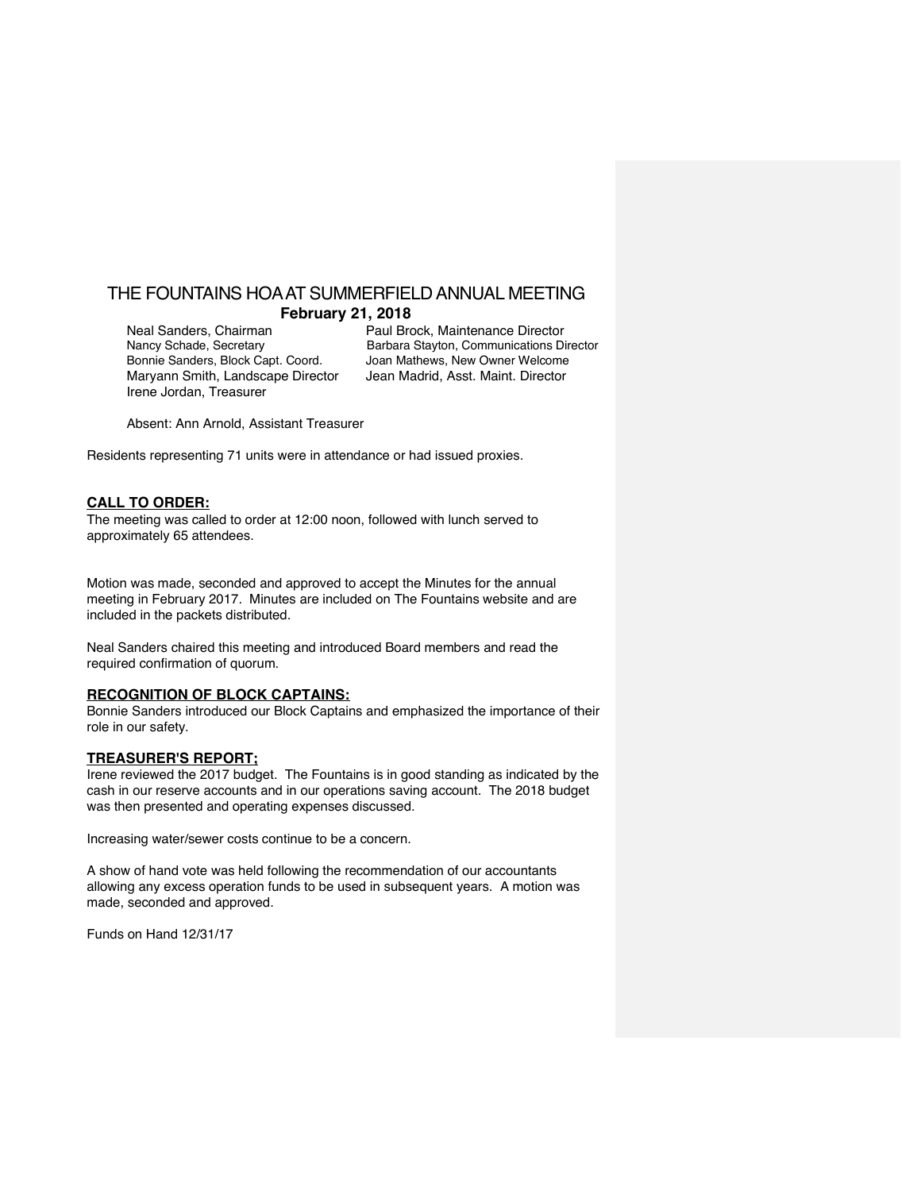## THE FOUNTAINS HOA AT SUMMERFIELD ANNUAL MEETING **February 21, 2018**

Bonnie Sanders, Block Capt. Coord. Joan Mathews, New Owner Welcome Maryann Smith, Landscape Director Jean Madrid, Asst. Maint. Director Irene Jordan, Treasurer

Neal Sanders, Chairman Paul Brock, Maintenance Director<br>Nancy Schade, Secretary Barbara Stayton, Communications Di Barbara Stayton, Communications Director

Absent: Ann Arnold, Assistant Treasurer

Residents representing 71 units were in attendance or had issued proxies.

#### **CALL TO ORDER:**

The meeting was called to order at 12:00 noon, followed with lunch served to approximately 65 attendees.

Motion was made, seconded and approved to accept the Minutes for the annual meeting in February 2017. Minutes are included on The Fountains website and are included in the packets distributed.

Neal Sanders chaired this meeting and introduced Board members and read the required confirmation of quorum.

## **RECOGNITION OF BLOCK CAPTAINS:**

Bonnie Sanders introduced our Block Captains and emphasized the importance of their role in our safety.

#### **TREASURER'S REPORT;**

Irene reviewed the 2017 budget. The Fountains is in good standing as indicated by the cash in our reserve accounts and in our operations saving account. The 2018 budget was then presented and operating expenses discussed.

Increasing water/sewer costs continue to be a concern.

A show of hand vote was held following the recommendation of our accountants allowing any excess operation funds to be used in subsequent years. A motion was made, seconded and approved.

Funds on Hand 12/31/17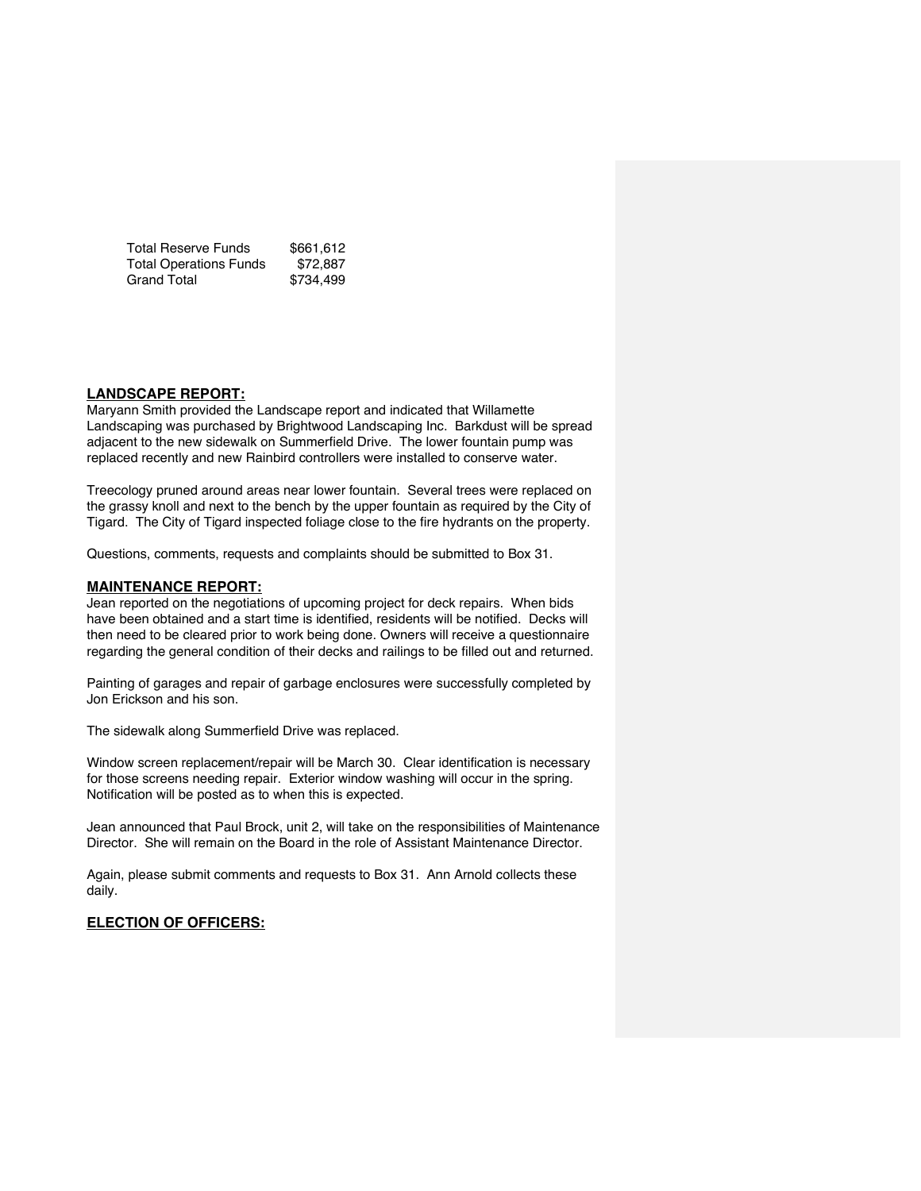| <b>Total Reserve Funds</b>    | \$661,612 |
|-------------------------------|-----------|
| <b>Total Operations Funds</b> | \$72.887  |
| <b>Grand Total</b>            | \$734,499 |

#### **LANDSCAPE REPORT:**

Maryann Smith provided the Landscape report and indicated that Willamette Landscaping was purchased by Brightwood Landscaping Inc. Barkdust will be spread adjacent to the new sidewalk on Summerfield Drive. The lower fountain pump was replaced recently and new Rainbird controllers were installed to conserve water.

Treecology pruned around areas near lower fountain. Several trees were replaced on the grassy knoll and next to the bench by the upper fountain as required by the City of Tigard. The City of Tigard inspected foliage close to the fire hydrants on the property.

Questions, comments, requests and complaints should be submitted to Box 31.

#### **MAINTENANCE REPORT:**

Jean reported on the negotiations of upcoming project for deck repairs. When bids have been obtained and a start time is identified, residents will be notified. Decks will then need to be cleared prior to work being done. Owners will receive a questionnaire regarding the general condition of their decks and railings to be filled out and returned.

Painting of garages and repair of garbage enclosures were successfully completed by Jon Erickson and his son.

The sidewalk along Summerfield Drive was replaced.

Window screen replacement/repair will be March 30. Clear identification is necessary for those screens needing repair. Exterior window washing will occur in the spring. Notification will be posted as to when this is expected.

Jean announced that Paul Brock, unit 2, will take on the responsibilities of Maintenance Director. She will remain on the Board in the role of Assistant Maintenance Director.

Again, please submit comments and requests to Box 31. Ann Arnold collects these daily.

## **ELECTION OF OFFICERS:**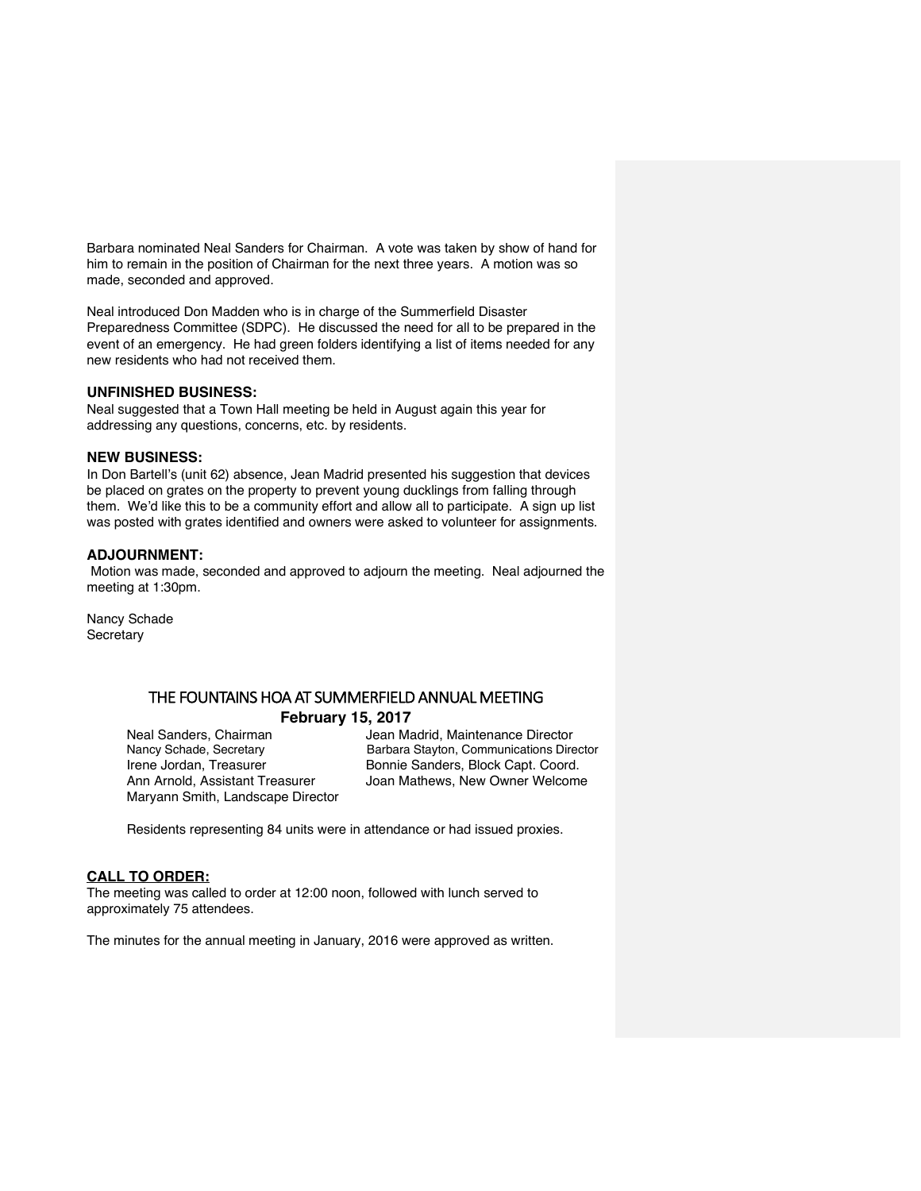Barbara nominated Neal Sanders for Chairman. A vote was taken by show of hand for him to remain in the position of Chairman for the next three years. A motion was so made, seconded and approved.

Neal introduced Don Madden who is in charge of the Summerfield Disaster Preparedness Committee (SDPC). He discussed the need for all to be prepared in the event of an emergency. He had green folders identifying a list of items needed for any new residents who had not received them.

#### **UNFINISHED BUSINESS:**

Neal suggested that a Town Hall meeting be held in August again this year for addressing any questions, concerns, etc. by residents.

### **NEW BUSINESS:**

In Don Bartell's (unit 62) absence, Jean Madrid presented his suggestion that devices be placed on grates on the property to prevent young ducklings from falling through them. We'd like this to be a community effort and allow all to participate. A sign up list was posted with grates identified and owners were asked to volunteer for assignments.

## **ADJOURNMENT:**

Motion was made, seconded and approved to adjourn the meeting. Neal adjourned the meeting at 1:30pm.

Nancy Schade **Secretary** 

## THE FOUNTAINS HOA AT SUMMERFIELD ANNUAL MEETING **February 15, 2017**

Maryann Smith, Landscape Director

Neal Sanders, Chairman Jean Madrid, Maintenance Director Nancy Schade, Secretary Barbara Stayton, Communications Director Irene Jordan, Treasurer **Bonnie Sanders, Block Capt. Coord.** Ann Arnold, Assistant Treasurer Joan Mathews, New Owner Welcome

Residents representing 84 units were in attendance or had issued proxies.

## **CALL TO ORDER:**

The meeting was called to order at 12:00 noon, followed with lunch served to approximately 75 attendees.

The minutes for the annual meeting in January, 2016 were approved as written.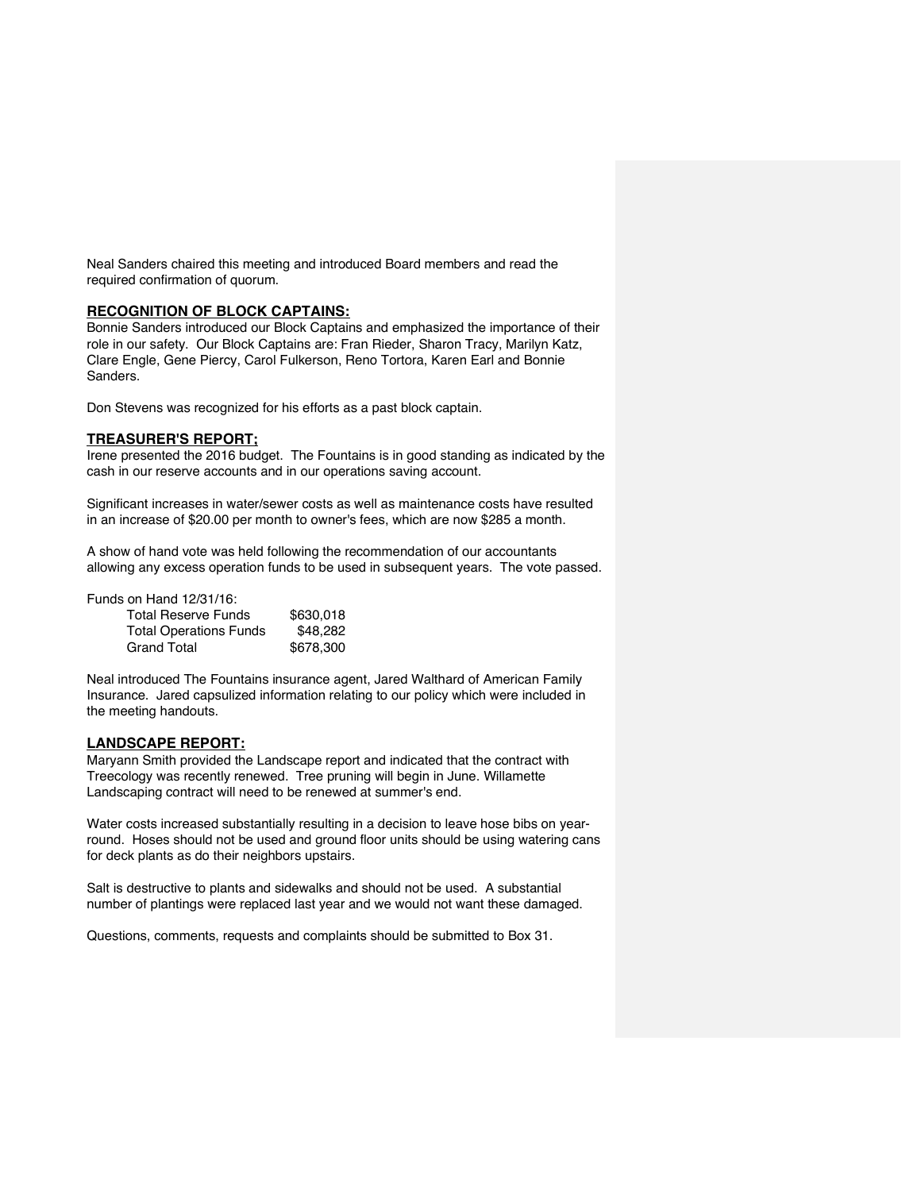Neal Sanders chaired this meeting and introduced Board members and read the required confirmation of quorum.

#### **RECOGNITION OF BLOCK CAPTAINS:**

Bonnie Sanders introduced our Block Captains and emphasized the importance of their role in our safety. Our Block Captains are: Fran Rieder, Sharon Tracy, Marilyn Katz, Clare Engle, Gene Piercy, Carol Fulkerson, Reno Tortora, Karen Earl and Bonnie Sanders.

Don Stevens was recognized for his efforts as a past block captain.

#### **TREASURER'S REPORT;**

Irene presented the 2016 budget. The Fountains is in good standing as indicated by the cash in our reserve accounts and in our operations saving account.

Significant increases in water/sewer costs as well as maintenance costs have resulted in an increase of \$20.00 per month to owner's fees, which are now \$285 a month.

A show of hand vote was held following the recommendation of our accountants allowing any excess operation funds to be used in subsequent years. The vote passed.

Funds on Hand 12/31/16:

| <b>Total Reserve Funds</b>    | \$630,018 |
|-------------------------------|-----------|
| <b>Total Operations Funds</b> | \$48.282  |
| <b>Grand Total</b>            | \$678,300 |

Neal introduced The Fountains insurance agent, Jared Walthard of American Family Insurance. Jared capsulized information relating to our policy which were included in the meeting handouts.

#### **LANDSCAPE REPORT:**

Maryann Smith provided the Landscape report and indicated that the contract with Treecology was recently renewed. Tree pruning will begin in June. Willamette Landscaping contract will need to be renewed at summer's end.

Water costs increased substantially resulting in a decision to leave hose bibs on yearround. Hoses should not be used and ground floor units should be using watering cans for deck plants as do their neighbors upstairs.

Salt is destructive to plants and sidewalks and should not be used. A substantial number of plantings were replaced last year and we would not want these damaged.

Questions, comments, requests and complaints should be submitted to Box 31.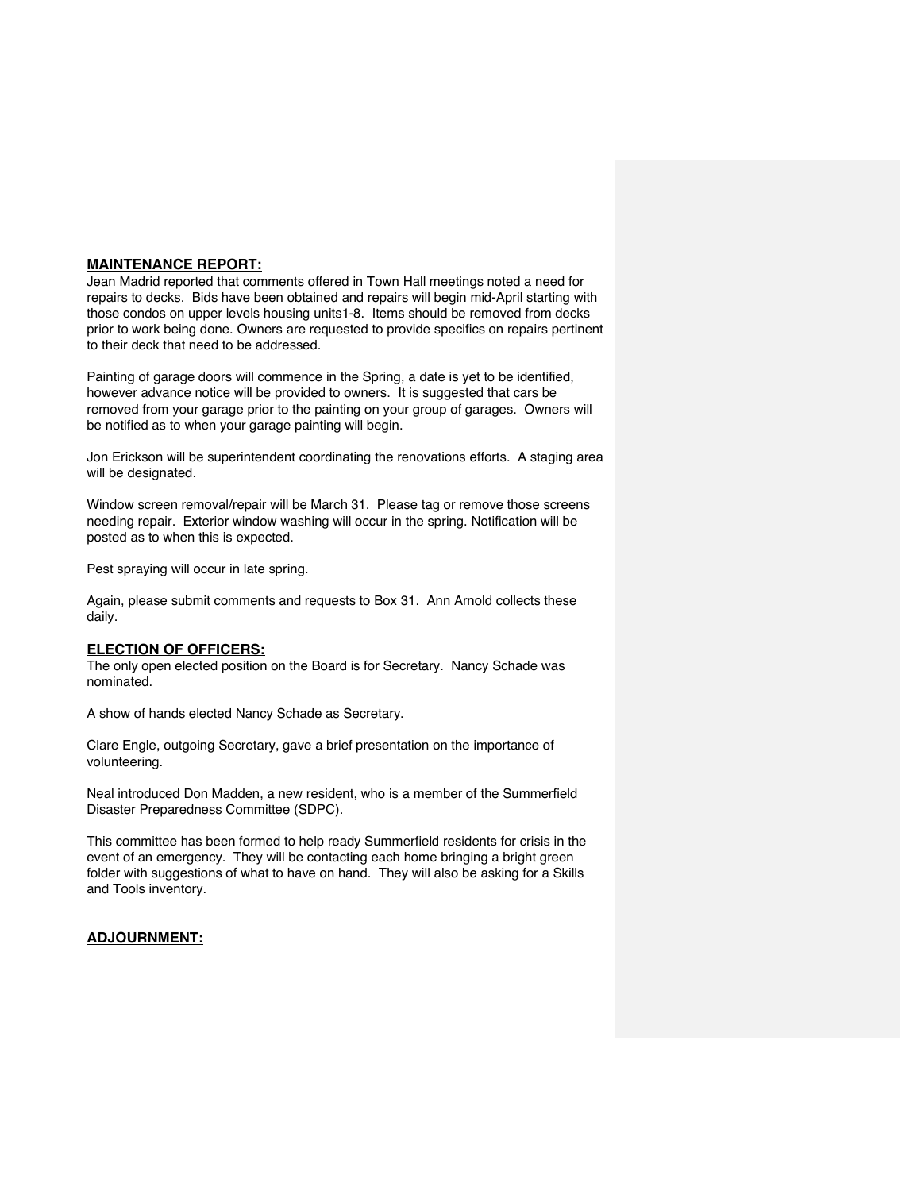#### **MAINTENANCE REPORT:**

Jean Madrid reported that comments offered in Town Hall meetings noted a need for repairs to decks. Bids have been obtained and repairs will begin mid-April starting with those condos on upper levels housing units1-8. Items should be removed from decks prior to work being done. Owners are requested to provide specifics on repairs pertinent to their deck that need to be addressed.

Painting of garage doors will commence in the Spring, a date is yet to be identified, however advance notice will be provided to owners. It is suggested that cars be removed from your garage prior to the painting on your group of garages. Owners will be notified as to when your garage painting will begin.

Jon Erickson will be superintendent coordinating the renovations efforts. A staging area will be designated.

Window screen removal/repair will be March 31. Please tag or remove those screens needing repair. Exterior window washing will occur in the spring. Notification will be posted as to when this is expected.

Pest spraying will occur in late spring.

Again, please submit comments and requests to Box 31. Ann Arnold collects these daily.

#### **ELECTION OF OFFICERS:**

The only open elected position on the Board is for Secretary. Nancy Schade was nominated.

A show of hands elected Nancy Schade as Secretary.

Clare Engle, outgoing Secretary, gave a brief presentation on the importance of volunteering.

Neal introduced Don Madden, a new resident, who is a member of the Summerfield Disaster Preparedness Committee (SDPC).

This committee has been formed to help ready Summerfield residents for crisis in the event of an emergency. They will be contacting each home bringing a bright green folder with suggestions of what to have on hand. They will also be asking for a Skills and Tools inventory.

## **ADJOURNMENT:**